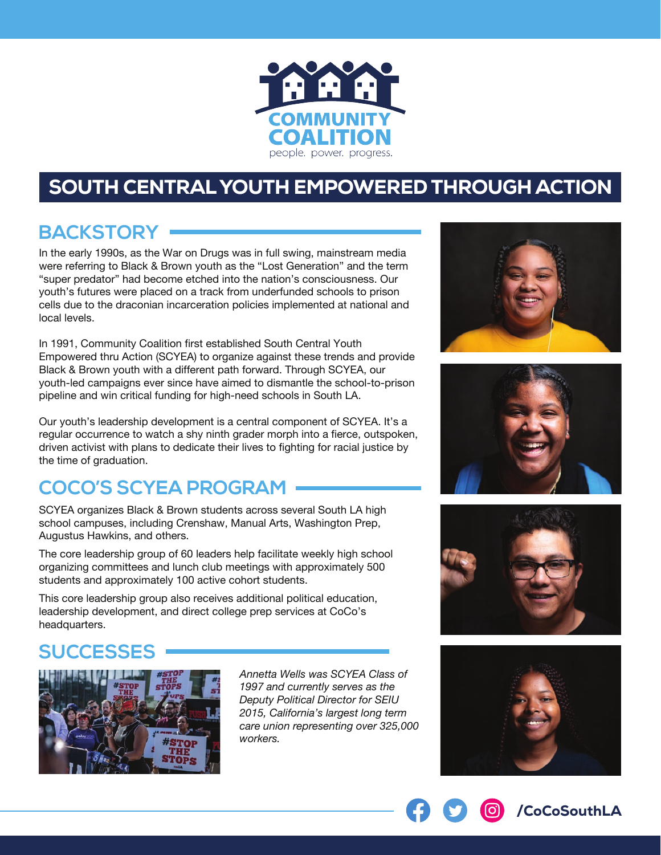

# SOUTH CENTRAL YOUTH EMPOWERED THROUGH ACTION

# **BACKSTORY**

In the early 1990s, as the War on Drugs was in full swing, mainstream media were referring to Black & Brown youth as the "Lost Generation" and the term "super predator" had become etched into the nation's consciousness. Our youth's futures were placed on a track from underfunded schools to prison cells due to the draconian incarceration policies implemented at national and local levels.

In 1991, Community Coalition first established South Central Youth Empowered thru Action (SCYEA) to organize against these trends and provide Black & Brown youth with a different path forward. Through SCYEA, our youth-led campaigns ever since have aimed to dismantle the school-to-prison pipeline and win critical funding for high-need schools in South LA.

Our youth's leadership development is a central component of SCYEA. It's a regular occurrence to watch a shy ninth grader morph into a fierce, outspoken, driven activist with plans to dedicate their lives to fighting for racial justice by the time of graduation.

# **COCO'S SCYEA PROGRAM**

SCYEA organizes Black & Brown students across several South LA high school campuses, including Crenshaw, Manual Arts, Washington Prep, Augustus Hawkins, and others.

The core leadership group of 60 leaders help facilitate weekly high school organizing committees and lunch club meetings with approximately 500 students and approximately 100 active cohort students.

This core leadership group also receives additional political education, leadership development, and direct college prep services at CoCo's headquarters.

# **SUCCESSES**



*Annetta Wells was SCYEA Class of 1997 and currently serves as the Deputy Political Director for SEIU 2015, California's largest long term care union representing over 325,000 workers.*









/CoCoSouthLA